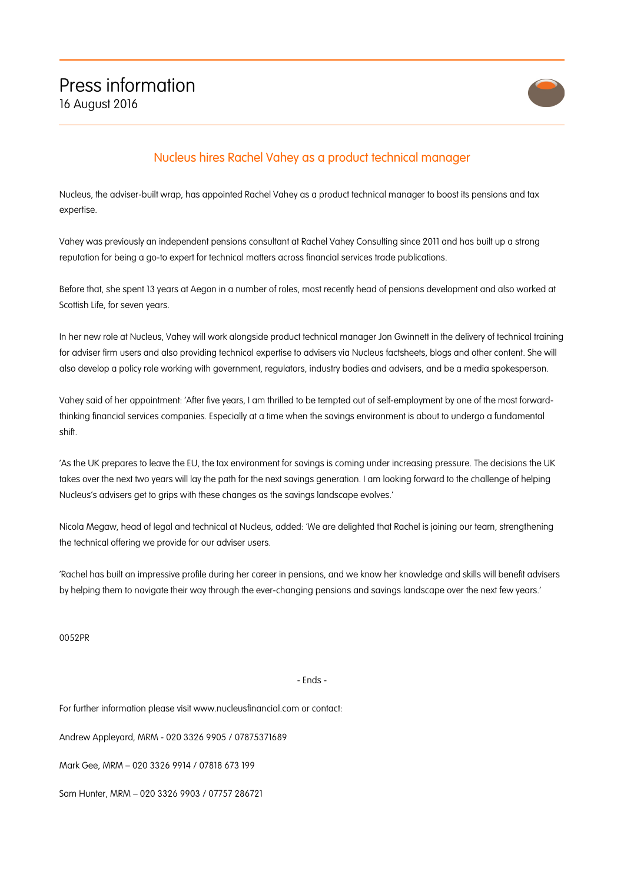

## Nucleus hires Rachel Vahey as a product technical manager

Nucleus, the adviser-built wrap, has appointed Rachel Vahey as a product technical manager to boost its pensions and tax expertise.

Vahey was previously an independent pensions consultant at Rachel Vahey Consulting since 2011 and has built up a strong reputation for being a go-to expert for technical matters across financial services trade publications.

Before that, she spent 13 years at Aegon in a number of roles, most recently head of pensions development and also worked at Scottish Life, for seven years.

In her new role at Nucleus, Vahey will work alongside product technical manager Jon Gwinnett in the delivery of technical training for adviser firm users and also providing technical expertise to advisers via Nucleus factsheets, blogs and other content. She will also develop a policy role working with government, regulators, industry bodies and advisers, and be a media spokesperson.

Vahey said of her appointment: 'After five years, I am thrilled to be tempted out of self-employment by one of the most forwardthinking financial services companies. Especially at a time when the savings environment is about to undergo a fundamental shift.

'As the UK prepares to leave the EU, the tax environment for savings is coming under increasing pressure. The decisions the UK takes over the next two years will lay the path for the next savings generation. I am looking forward to the challenge of helping Nucleus's advisers get to grips with these changes as the savings landscape evolves.'

Nicola Megaw, head of legal and technical at Nucleus, added: 'We are delighted that Rachel is joining our team, strengthening the technical offering we provide for our adviser users.

'Rachel has built an impressive profile during her career in pensions, and we know her knowledge and skills will benefit advisers by helping them to navigate their way through the ever-changing pensions and savings landscape over the next few years.'

0052PR

## - Ends -

For further information please visit www.nucleusfinancial.com or contact:

Andrew Appleyard, MRM - 020 3326 9905 / 07875371689

Mark Gee, MRM – 020 3326 9914 / 07818 673 199

Sam Hunter, MRM – 020 3326 9903 / 07757 286721